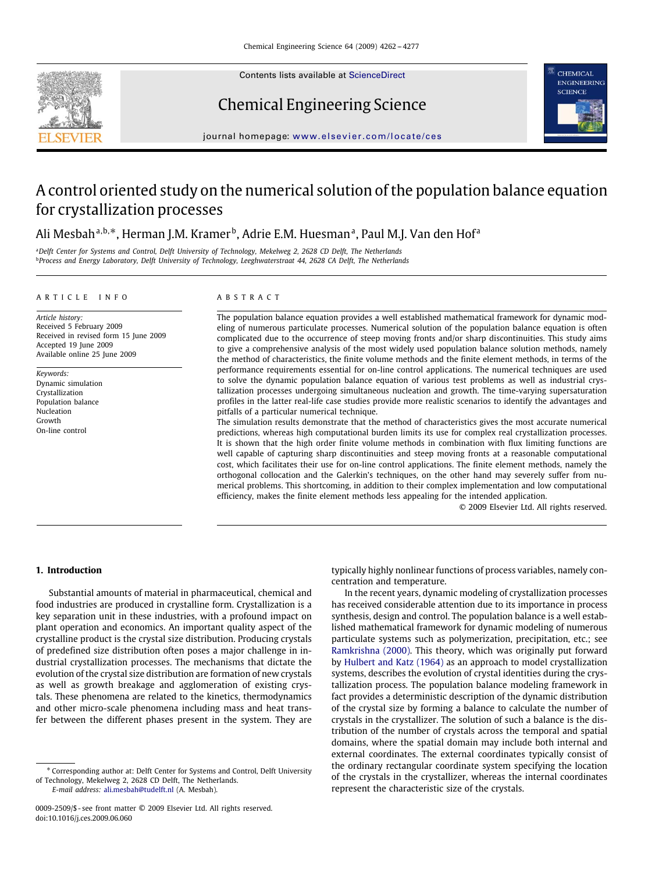Contents lists available at [ScienceDirect](http://www.sciencedirect.com/science/journal/ces)







journal homepage: [www.elsevier.com/locate/ces](http://www.elsevier.com/locate/ces)

# A control oriented study on the numerical solution of the population balance equation for crystallization processes

## Ali Mesbah<sup>a, b,</sup>\*, Herman J.M. Kramer<sup>b</sup>, Adrie E.M. Huesman<sup>a</sup>, Paul M.J. Van den Hof<sup>a</sup>

<sup>a</sup>*Delft Center for Systems and Control, Delft University of Technology, Mekelweg 2, 2628 CD Delft, The Netherlands* <sup>b</sup>*Process and Energy Laboratory, Delft University of Technology, Leeghwaterstraat 44, 2628 CA Delft, The Netherlands*

### ARTICLE INFO ABSTRACT

*Article history:* Received 5 February 2009 Received in revised form 15 June 2009 Accepted 19 June 2009 Available online 25 June 2009

*Keywords:* Dynamic simulation Crystallization Population balance Nucleation Growth On-line control

The population balance equation provides a well established mathematical framework for dynamic modeling of numerous particulate processes. Numerical solution of the population balance equation is often complicated due to the occurrence of steep moving fronts and/or sharp discontinuities. This study aims to give a comprehensive analysis of the most widely used population balance solution methods, namely the method of characteristics, the finite volume methods and the finite element methods, in terms of the performance requirements essential for on-line control applications. The numerical techniques are used to solve the dynamic population balance equation of various test problems as well as industrial crystallization processes undergoing simultaneous nucleation and growth. The time-varying supersaturation profiles in the latter real-life case studies provide more realistic scenarios to identify the advantages and pitfalls of a particular numerical technique.

The simulation results demonstrate that the method of characteristics gives the most accurate numerical predictions, whereas high computational burden limits its use for complex real crystallization processes. It is shown that the high order finite volume methods in combination with flux limiting functions are well capable of capturing sharp discontinuities and steep moving fronts at a reasonable computational cost, which facilitates their use for on-line control applications. The finite element methods, namely the orthogonal collocation and the Galerkin's techniques, on the other hand may severely suffer from numerical problems. This shortcoming, in addition to their complex implementation and low computational efficiency, makes the finite element methods less appealing for the intended application.

© 2009 Elsevier Ltd. All rights reserved.

### **1. Introduction**

Substantial amounts of material in pharmaceutical, chemical and food industries are produced in crystalline form. Crystallization is a key separation unit in these industries, with a profound impact on plant operation and economics. An important quality aspect of the crystalline product is the crystal size distribution. Producing crystals of predefined size distribution often poses a major challenge in industrial crystallization processes. The mechanisms that dictate the evolution of the crystal size distribution are formation of new crystals as well as growth breakage and agglomeration of existing crystals. These phenomena are related to the kinetics, thermodynamics and other micro-scale phenomena including mass and heat transfer between the different phases present in the system. They are

*E-mail address:* [ali.mesbah@tudelft.nl](mailto:ali.mesbah@tudelft.nl) (A. Mesbah).

typically highly nonlinear functions of process variables, namely concentration and temperature.

In the recent years, dynamic modeling of crystallization processes has received considerable attention due to its importance in process synthesis, design and control. The population balance is a well established mathematical framework for dynamic modeling of numerous particulate systems such as polymerization, precipitation, etc.; see [Ramkrishna \(2000\).](#page-15-0) This theory, which was originally put forward by [Hulbert and Katz \(1964\)](#page-14-0) as an approach to model crystallization systems, describes the evolution of crystal identities during the crystallization process. The population balance modeling framework in fact provides a deterministic description of the dynamic distribution of the crystal size by forming a balance to calculate the number of crystals in the crystallizer. The solution of such a balance is the distribution of the number of crystals across the temporal and spatial domains, where the spatial domain may include both internal and external coordinates. The external coordinates typically consist of the ordinary rectangular coordinate system specifying the location of the crystals in the crystallizer, whereas the internal coordinates represent the characteristic size of the crystals.

<sup>∗</sup> Corresponding author at: Delft Center for Systems and Control, Delft University of Technology, Mekelweg 2, 2628 CD Delft, The Netherlands.

<sup>0009-2509/\$ -</sup> see front matter © 2009 Elsevier Ltd. All rights reserved. doi:10.1016/j.ces.2009.06.060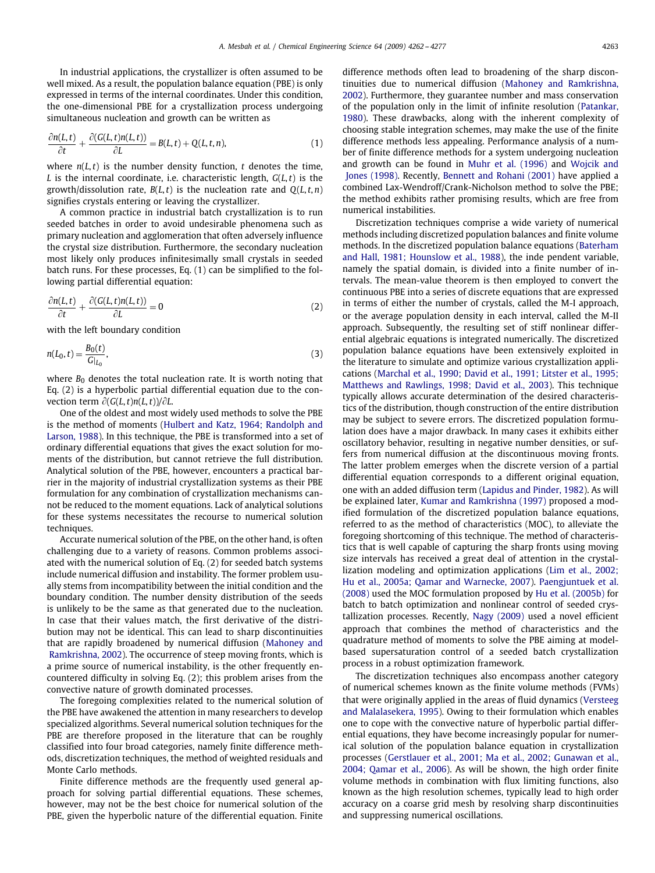In industrial applications, the crystallizer is often assumed to be well mixed. As a result, the population balance equation (PBE) is only expressed in terms of the internal coordinates. Under this condition, the one-dimensional PBE for a crystallization process undergoing simultaneous nucleation and growth can be written as

$$
\frac{\partial n(L,t)}{\partial t} + \frac{\partial (G(L,t)n(L,t))}{\partial L} = B(L,t) + Q(L,t,n),\tag{1}
$$

where  $n(L, t)$  is the number density function,  $t$  denotes the time, *L* is the internal coordinate, i.e. characteristic length, *G*(*L*,*t*) is the growth/dissolution rate, *B*(*L*,*t*) is the nucleation rate and *Q*(*L*,*t*, *n*) signifies crystals entering or leaving the crystallizer.

A common practice in industrial batch crystallization is to run seeded batches in order to avoid undesirable phenomena such as primary nucleation and agglomeration that often adversely influence the crystal size distribution. Furthermore, the secondary nucleation most likely only produces infinitesimally small crystals in seeded batch runs. For these processes, Eq. (1) can be simplified to the following partial differential equation:

$$
\frac{\partial n(L,t)}{\partial t} + \frac{\partial (G(L,t)n(L,t))}{\partial L} = 0
$$
\n(2)

with the left boundary condition

$$
n(L_0, t) = \frac{B_0(t)}{G|_{L_0}},
$$
\n(3)

where  $B_0$  denotes the total nucleation rate. It is worth noting that Eq. (2) is a hyperbolic partial differential equation due to the con- $\partial(G(L, t) n(L, t))/\partial L$ .

One of the oldest and most widely used methods to solve the PBE is the method of moments (Hulbert and Katz, 1964; Randolph and Larson, 1988). In this technique, the PBE is transformed into a set of ordinary differential equations that gives the exact solution for moments of the distribution, but cannot retrieve the full distribution. Analytical solution of the PBE, however, encounters a practical barrier in the majority of industrial crystallization systems as their PBE formulation for any combination of crystallization mechanisms cannot be reduced to the moment equations. Lack of analytical solutions for these systems necessitates the recourse to numerical solution techniques.

Accurate numerical solution of the PBE, on the other hand, is often challenging due to a variety of reasons. Common problems associated with the numerical solution of Eq. (2) for seeded batch systems include numerical diffusion and instability. The former problem usually stems from incompatibility between the initial condition and the boundary condition. The number density distribution of the seeds is unlikely to be the same as that generated due to the nucleation. In case that their values match, the first derivative of the distribution may not be identical. This can lead to sharp discontinuities that are rapidly broadened by numerical diffusion [\(Mahoney and](#page-15-1) [Ramkrishna, 2002\)](#page-15-1). The occurrence of steep moving fronts, which is a prime source of numerical instability, is the other frequently encountered difficulty in solving Eq. (2); this problem arises from the convective nature of growth dominated processes.

The foregoing complexities related to the numerical solution of the PBE have awakened the attention in many researchers to develop specialized algorithms. Several numerical solution techniques for the PBE are therefore proposed in the literature that can be roughly classified into four broad categories, namely finite difference methods, discretization techniques, the method of weighted residuals and Monte Carlo methods.

Finite difference methods are the frequently used general approach for solving partial differential equations. These schemes, however, may not be the best choice for numerical solution of the PBE, given the hyperbolic nature of the differential equation. Finite difference methods often lead to broadening of the sharp discontinuities due to numerical diffusion [\(Mahoney and Ramkrishna,](#page-15-1) [2002\)](#page-15-1). Furthermore, they guarantee number and mass conservation of the population only in the limit of infinite resolution [\(Patankar,](#page-15-2) [1980\)](#page-15-2). These drawbacks, along with the inherent complexity of choosing stable integration schemes, may make the use of the finite difference methods less appealing. Performance analysis of a number of finite difference methods for a system undergoing nucleation and growth can be found in [Muhr et al. \(1996\)](#page-15-3) and [Wojcik and](#page-15-4) [Jones \(1998\).](#page-15-4) Recently, [Bennett and Rohani \(2001\)](#page-14-1) have applied a combined Lax-Wendroff/Crank-Nicholson method to solve the PBE; the method exhibits rather promising results, which are free from numerical instabilities.

Discretization techniques comprise a wide variety of numerical methods including discretized population balances and finite volume methods. In the discretized population balance equations (Baterham and Hall, 1981; Hounslow et al., 1988), the inde pendent variable, namely the spatial domain, is divided into a finite number of intervals. The mean-value theorem is then employed to convert the continuous PBE into a series of discrete equations that are expressed in terms of either the number of crystals, called the M-I approach, or the average population density in each interval, called the M-II approach. Subsequently, the resulting set of stiff nonlinear differential algebraic equations is integrated numerically. The discretized population balance equations have been extensively exploited in the literature to simulate and optimize various crystallization applications (Marchal et al., 1990; David et al., 1991; Litster et al., 1995; Matthews and Rawlings, 1998; David et al., 2003). This technique typically allows accurate determination of the desired characteristics of the distribution, though construction of the entire distribution may be subject to severe errors. The discretized population formulation does have a major drawback. In many cases it exhibits either oscillatory behavior, resulting in negative number densities, or suffers from numerical diffusion at the discontinuous moving fronts. The latter problem emerges when the discrete version of a partial differential equation corresponds to a different original equation, one with an added diffusion term [\(Lapidus and Pinder, 1982\)](#page-15-5). As will be explained later, [Kumar and Ramkrishna \(1997\)](#page-14-2) proposed a modified formulation of the discretized population balance equations, referred to as the method of characteristics (MOC), to alleviate the foregoing shortcoming of this technique. The method of characteristics that is well capable of capturing the sharp fronts using moving size intervals has received a great deal of attention in the crystallization modeling and optimization applications (Lim et al., 2002; Hu et al., 2005a; Qamar and Warnecke, 2007). [Paengjuntuek et al.](#page-15-6) [\(2008\)](#page-15-6) used the MOC formulation proposed by [Hu et al. \(2005b\)](#page-14-3) for batch to batch optimization and nonlinear control of seeded crystallization processes. Recently, [Nagy \(2009\)](#page-15-7) used a novel efficient approach that combines the method of characteristics and the quadrature method of moments to solve the PBE aiming at modelbased supersaturation control of a seeded batch crystallization process in a robust optimization framework.

The discretization techniques also encompass another category of numerical schemes known as the finite volume methods (FVMs) that were originally applied in the areas of fluid dynamics [\(Versteeg](#page-15-8) [and Malalasekera, 1995\)](#page-15-8). Owing to their formulation which enables one to cope with the convective nature of hyperbolic partial differential equations, they have become increasingly popular for numerical solution of the population balance equation in crystallization processes (Gerstlauer et al., 2001; Ma et al., 2002; Gunawan et al., 2004; Qamar et al., 2006). As will be shown, the high order finite volume methods in combination with flux limiting functions, also known as the high resolution schemes, typically lead to high order accuracy on a coarse grid mesh by resolving sharp discontinuities and suppressing numerical oscillations.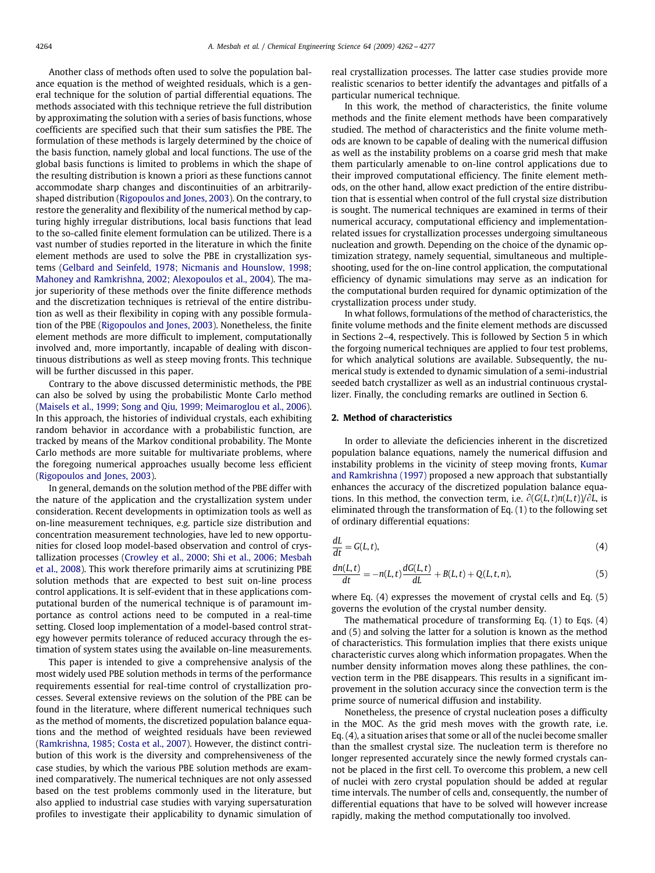by approximating the solution with a series of basis functions, whose coefficients are specified such that their sum satisfies the PBE. The formulation of these methods is largely determined by the choice of the basis function, namely global and local functions. The use of the global basis functions is limited to problems in which the shape of the resulting distribution is known a priori as these functions cannot accommodate sharp changes and discontinuities of an arbitrarilyshaped distribution [\(Rigopoulos and Jones, 2003\)](#page-15-9). On the contrary, to restore the generality and flexibility of the numerical method by capturing highly irregular distributions, local basis functions that lead to the so-called finite element formulation can be utilized. There is a vast number of studies reported in the literature in which the finite element methods are used to solve the PBE in crystallization systems (Gelbard and Seinfeld, 1978; Nicmanis and Hounslow, 1998; Mahoney and Ramkrishna, 2002; Alexopoulos et al., 2004). The major superiority of these methods over the finite difference methods and the discretization techniques is retrieval of the entire distribution as well as their flexibility in coping with any possible formulation of the PBE [\(Rigopoulos and Jones, 2003\)](#page-15-9). Nonetheless, the finite element methods are more difficult to implement, computationally involved and, more importantly, incapable of dealing with discontinuous distributions as well as steep moving fronts. This technique will be further discussed in this paper.

Contrary to the above discussed deterministic methods, the PBE can also be solved by using the probabilistic Monte Carlo method (Maisels et al., 1999; Song and Qiu, 1999; Meimaroglou et al., 2006). In this approach, the histories of individual crystals, each exhibiting random behavior in accordance with a probabilistic function, are tracked by means of the Markov conditional probability. The Monte Carlo methods are more suitable for multivariate problems, where the foregoing numerical approaches usually become less efficient [\(Rigopoulos and Jones, 2003\)](#page-15-9).

In general, demands on the solution method of the PBE differ with the nature of the application and the crystallization system under consideration. Recent developments in optimization tools as well as on-line measurement techniques, e.g. particle size distribution and concentration measurement technologies, have led to new opportunities for closed loop model-based observation and control of crystallization processes (Crowley et al., 2000; Shi et al., 2006; Mesbah et al., 2008). This work therefore primarily aims at scrutinizing PBE solution methods that are expected to best suit on-line process control applications. It is self-evident that in these applications computational burden of the numerical technique is of paramount importance as control actions need to be computed in a real-time setting. Closed loop implementation of a model-based control strategy however permits tolerance of reduced accuracy through the estimation of system states using the available on-line measurements.

This paper is intended to give a comprehensive analysis of the most widely used PBE solution methods in terms of the performance requirements essential for real-time control of crystallization processes. Several extensive reviews on the solution of the PBE can be found in the literature, where different numerical techniques such as the method of moments, the discretized population balance equations and the method of weighted residuals have been reviewed (Ramkrishna, 1985; Costa et al., 2007). However, the distinct contribution of this work is the diversity and comprehensiveness of the case studies, by which the various PBE solution methods are examined comparatively. The numerical techniques are not only assessed based on the test problems commonly used in the literature, but also applied to industrial case studies with varying supersaturation profiles to investigate their applicability to dynamic simulation of real crystallization processes. The latter case studies provide more realistic scenarios to better identify the advantages and pitfalls of a particular numerical technique.

In this work, the method of characteristics, the finite volume methods and the finite element methods have been comparatively studied. The method of characteristics and the finite volume methods are known to be capable of dealing with the numerical diffusion as well as the instability problems on a coarse grid mesh that make them particularly amenable to on-line control applications due to their improved computational efficiency. The finite element methods, on the other hand, allow exact prediction of the entire distribution that is essential when control of the full crystal size distribution is sought. The numerical techniques are examined in terms of their numerical accuracy, computational efficiency and implementationrelated issues for crystallization processes undergoing simultaneous nucleation and growth. Depending on the choice of the dynamic optimization strategy, namely sequential, simultaneous and multipleshooting, used for the on-line control application, the computational efficiency of dynamic simulations may serve as an indication for the computational burden required for dynamic optimization of the crystallization process under study.

In what follows, formulations of the method of characteristics, the finite volume methods and the finite element methods are discussed in Sections 2–4, respectively. This is followed by Section 5 in which the forgoing numerical techniques are applied to four test problems, for which analytical solutions are available. Subsequently, the numerical study is extended to dynamic simulation of a semi-industrial seeded batch crystallizer as well as an industrial continuous crystallizer. Finally, the concluding remarks are outlined in Section 6.

#### **2. Method of characteristics**

*dL*

In order to alleviate the deficiencies inherent in the discretized population balance equations, namely the numerical diffusion and instability problems in the vicinity of steep moving fronts, [Kumar](#page-14-2) [and Ramkrishna \(1997\)](#page-14-2) proposed a new approach that substantially enhances the accuracy of the discretized population balance equations. In this method, the convection term, i.e.  $\partial(G(L, t)n(L, t))/\partial L$ , is eliminated through the transformation of Eq. (1) to the following set of ordinary differential equations:

$$
\frac{dL}{dt} = G(L, t),\tag{4}
$$

$$
\frac{dn(L,t)}{dt} = -n(L,t)\frac{dG(L,t)}{dt} + B(L,t) + Q(L,t,n),
$$
\n(5)

where Eq. (4) expresses the movement of crystal cells and Eq. (5) governs the evolution of the crystal number density.

The mathematical procedure of transforming Eq. (1) to Eqs. (4) and (5) and solving the latter for a solution is known as the method of characteristics. This formulation implies that there exists unique characteristic curves along which information propagates. When the number density information moves along these pathlines, the convection term in the PBE disappears. This results in a significant improvement in the solution accuracy since the convection term is the prime source of numerical diffusion and instability.

Nonetheless, the presence of crystal nucleation poses a difficulty in the MOC. As the grid mesh moves with the growth rate, i.e. Eq. (4), a situation arises that some or all of the nuclei become smaller than the smallest crystal size. The nucleation term is therefore no longer represented accurately since the newly formed crystals cannot be placed in the first cell. To overcome this problem, a new cell of nuclei with zero crystal population should be added at regular time intervals. The number of cells and, consequently, the number of differential equations that have to be solved will however increase rapidly, making the method computationally too involved.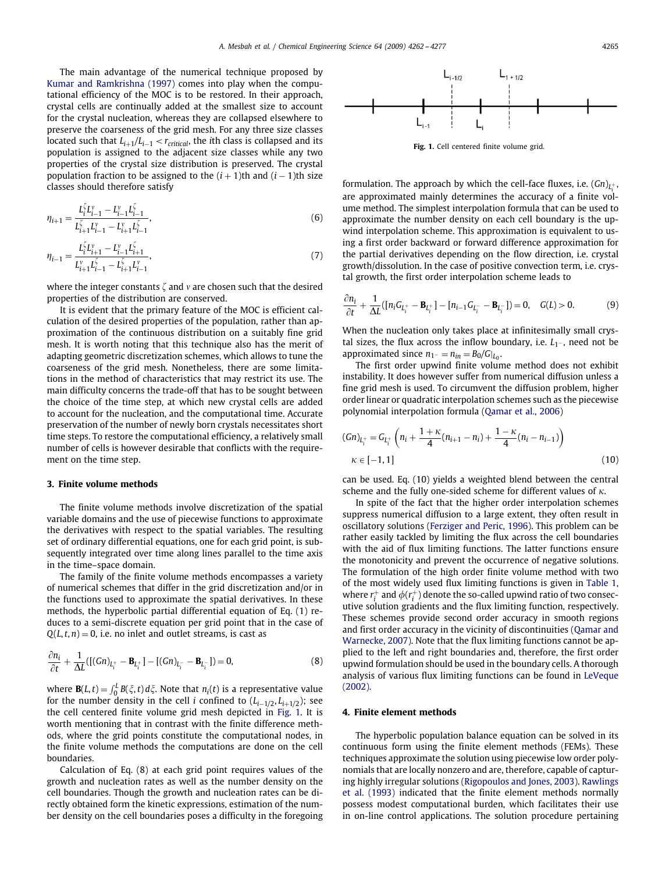The main advantage of the numerical technique proposed by [Kumar and Ramkrishna \(1997\)](#page-14-2) comes into play when the computational efficiency of the MOC is to be restored. In their approach, crystal cells are continually added at the smallest size to account for the crystal nucleation, whereas they are collapsed elsewhere to preserve the coarseness of the grid mesh. For any three size classes located such that  $L_{i+1}/L_{i-1} < r_{critical}$ , the *i*th class is collapsed and its population is assigned to the adjacent size classes while any two properties of the crystal size distribution is preserved. The crystal population fraction to be assigned to the  $(i + 1)$ th and  $(i - 1)$ th size classes should therefore satisfy

$$
\eta_{i+1} = \frac{L_i^{\zeta} L_{i-1}^{\gamma} - L_{i-1}^{\gamma} L_{i-1}^{\zeta}}{L_{i+1}^{\zeta} L_{i-1}^{\gamma} - L_{i+1}^{\gamma} L_{i-1}^{\zeta}},\tag{6}
$$

$$
\eta_{i-1} = \frac{L_i^{\zeta} L_{i+1}^{\nu} - L_{i-1}^{\nu} L_{i+1}^{\zeta}}{L_{i+1}^{\nu} L_{i-1}^{\zeta} - L_{i+1}^{\zeta} L_{i-1}^{\nu}},\tag{7}
$$

where the integer constants  $\zeta$  and  $\nu$  are chosen such that the desired properties of the distribution are conserved.

It is evident that the primary feature of the MOC is efficient calculation of the desired properties of the population, rather than approximation of the continuous distribution on a suitably fine grid mesh. It is worth noting that this technique also has the merit of adapting geometric discretization schemes, which allows to tune the coarseness of the grid mesh. Nonetheless, there are some limitations in the method of characteristics that may restrict its use. The main difficulty concerns the trade-off that has to be sought between the choice of the time step, at which new crystal cells are added to account for the nucleation, and the computational time. Accurate preservation of the number of newly born crystals necessitates short time steps. To restore the computational efficiency, a relatively small number of cells is however desirable that conflicts with the requirement on the time step.

#### **3. Finite volume methods**

The finite volume methods involve discretization of the spatial variable domains and the use of piecewise functions to approximate the derivatives with respect to the spatial variables. The resulting set of ordinary differential equations, one for each grid point, is subsequently integrated over time along lines parallel to the time axis in the time–space domain.

The family of the finite volume methods encompasses a variety of numerical schemes that differ in the grid discretization and/or in the functions used to approximate the spatial derivatives. In these methods, the hyperbolic partial differential equation of Eq. (1) reduces to a semi-discrete equation per grid point that in the case of  $Q(L, t, n) = 0$ , i.e. no inlet and outlet streams, is cast as

$$
\frac{\partial n_i}{\partial t} + \frac{1}{\Delta L} ([(Gn)_{L_i^+} - \mathbf{B}_{L_i^+}] - [(Gn)_{L_i^-} - \mathbf{B}_{L_i^-}] ) = 0, \tag{8}
$$

where **B**(*L*,*t*) =  $\int_0^L B(\xi, t) d\xi$ . Note that  $n_i(t)$  is a representative value for the number density in the cell *i* confined to  $(L_{i-1/2}, L_{i+1/2})$ ; see the cell centered finite volume grid mesh depicted in [Fig. 1.](#page-3-0) It is worth mentioning that in contrast with the finite difference methods, where the grid points constitute the computational nodes, in the finite volume methods the computations are done on the cell boundaries.

Calculation of Eq. (8) at each grid point requires values of the growth and nucleation rates as well as the number density on the cell boundaries. Though the growth and nucleation rates can be directly obtained form the kinetic expressions, estimation of the number density on the cell boundaries poses a difficulty in the foregoing



<span id="page-3-0"></span>**Fig. 1.** Cell centered finite volume grid.

formulation. The approach by which the cell-face fluxes, i.e. (*Gn*)*L*<sup>+</sup> , are approximated mainly determines the accuracy of a finite volume method. The simplest interpolation formula that can be used to approximate the number density on each cell boundary is the upwind interpolation scheme. This approximation is equivalent to using a first order backward or forward difference approximation for the partial derivatives depending on the flow direction, i.e. crystal growth/dissolution. In the case of positive convection term, i.e. crystal growth, the first order interpolation scheme leads to

$$
\frac{\partial n_i}{\partial t} + \frac{1}{\Delta L} (\left[ n_i G_{L_i^+} - \mathbf{B}_{L_i^+} \right] - \left[ n_{i-1} G_{L_i^-} - \mathbf{B}_{L_i^-} \right] ) = 0, \quad G(L) > 0. \tag{9}
$$

When the nucleation only takes place at infinitesimally small crystal sizes, the flux across the inflow boundary, i.e. *L*1<sup>−</sup> , need not be approximated since  $n_{1-} = n_{in} = B_0/G|_{L_0}$ .

The first order upwind finite volume method does not exhibit instability. It does however suffer from numerical diffusion unless a fine grid mesh is used. To circumvent the diffusion problem, higher order linear or quadratic interpolation schemes such as the piecewise polynomial interpolation formula [\(Qamar et al., 2006\)](#page-15-10)

$$
(Gn)_{L_i^+} = G_{L_i^+} \left( n_i + \frac{1+\kappa}{4} (n_{i+1} - n_i) + \frac{1-\kappa}{4} (n_i - n_{i-1}) \right)
$$
  

$$
\kappa \in [-1, 1]
$$
 (10)

can be used. Eq. (10) yields a weighted blend between the central scheme and the fully one-sided scheme for different values of  $\kappa$ .

In spite of the fact that the higher order interpolation schemes suppress numerical diffusion to a large extent, they often result in oscillatory solutions [\(Ferziger and Peric, 1996\)](#page-14-4). This problem can be rather easily tackled by limiting the flux across the cell boundaries with the aid of flux limiting functions. The latter functions ensure the monotonicity and prevent the occurrence of negative solutions. The formulation of the high order finite volume method with two of the most widely used flux limiting functions is given in [Table 1,](#page-4-0) where  $r_i^+$  and  $\phi(r_i^+)$  denote the so-called upwind ratio of two consecutive solution gradients and the flux limiting function, respectively. These schemes provide second order accuracy in smooth regions and first order accuracy in the vicinity of discontinuities [\(Qamar and](#page-15-11) [Warnecke, 2007\)](#page-15-11). Note that the flux limiting functions cannot be applied to the left and right boundaries and, therefore, the first order upwind formulation should be used in the boundary cells. A thorough analysis of various flux limiting functions can be found in [LeVeque](#page-15-12)  $(2002)$ 

### **4. Finite element methods**

The hyperbolic population balance equation can be solved in its continuous form using the finite element methods (FEMs). These techniques approximate the solution using piecewise low order polynomials that are locally nonzero and are, therefore, capable of capturing highly irregular solutions [\(Rigopoulos and Jones, 2003\)](#page-15-9). [Rawlings](#page-15-13) [et al. \(1993\)](#page-15-13) indicated that the finite element methods normally possess modest computational burden, which facilitates their use in on-line control applications. The solution procedure pertaining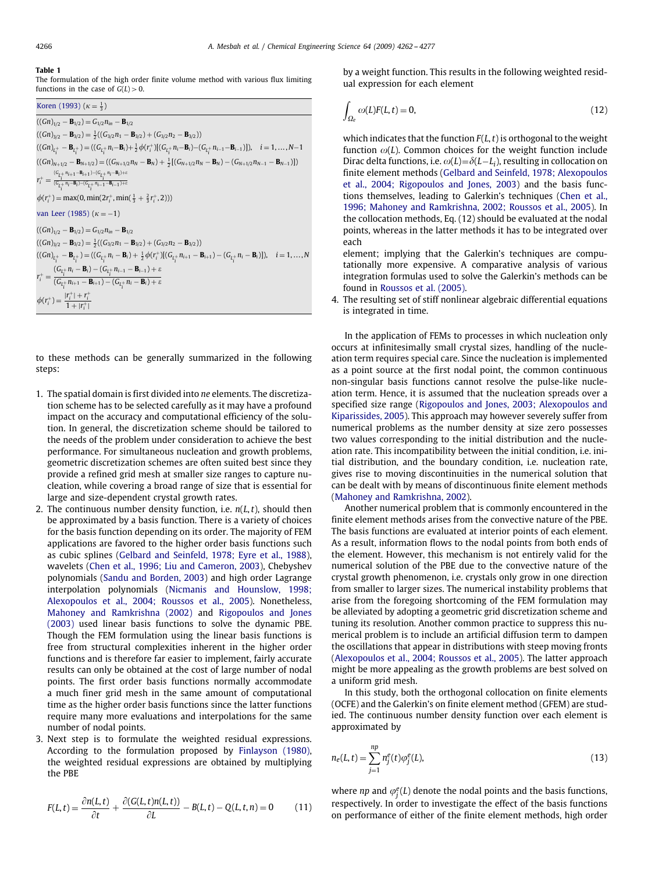The formulation of the high order finite volume method with various flux limiting functions in the case of  $G(L) > 0$ .

<span id="page-4-0"></span>[Koren \(1993\)](#page-14-5) ( $\kappa = \frac{1}{3}$ )  $((Gn)_{1/2} - \mathbf{B}_{1/2}) = G_{1/2}n_{in} - \mathbf{B}_{1/2}$  $((Gn)_{3/2} - \mathbf{B}_{3/2}) = \frac{1}{2}((G_{3/2}n_1 - \mathbf{B}_{3/2}) + (G_{3/2}n_2 - \mathbf{B}_{3/2}))$  $((Gn)_{L_i^+} - \mathbf{B}_{L_i^+}) = ((G_{L_i^+} n_i - \mathbf{B}_i) + \frac{1}{2} \phi(r_i^+)[(G_{L_i^+} n_i - \mathbf{B}_i) - (G_{L_i^+} n_{i-1} - \mathbf{B}_{i-1})]), \quad i = 1, ..., N-1$  $((Gn)_{N+1/2} - \mathbf{B}_{N+1/2}) = ((G_{N+1/2}n_N - \mathbf{B}_N) + \frac{1}{2}[(G_{N+1/2}n_N - \mathbf{B}_N) - (G_{N+1/2}n_{N-1} - \mathbf{B}_{N-1})])$  $r_i^+ = \frac{(\mathbf{G}_{l_i^+} n_{i+1} - \mathbf{B}_{i+1}) - (\mathbf{G}_{l_i^+} n_{i} - \mathbf{B}_{i}) + \varepsilon}{(\mathbf{G}_{l_i^+} n_{i} - \mathbf{B}_{i}) - (\mathbf{G}_{l_i^+} n_{i-1} - \mathbf{B}_{i-1}) + \varepsilon}$  $\phi(r_i^+) = \max(0, \min(2r_i^+, \min(\frac{1}{3} + \frac{2}{3}r_i^+, 2)))$ [van Leer \(1985\)](#page-15-14) ( $\kappa = -1$ )  $((Gn)_{1/2} - \mathbf{B}_{1/2}) = G_{1/2}n_{in} - \mathbf{B}_{1/2}$  $((Gn)_{3/2} - \mathbf{B}_{3/2}) = \frac{1}{2}((G_{3/2}n_1 - \mathbf{B}_{3/2}) + (G_{3/2}n_2 - \mathbf{B}_{3/2}))$  $((Gn)_{L_i^+} - \mathbf{B}_{L_i^+}) = ((G_{L_i^+} n_i - \mathbf{B}_i) + \frac{1}{2} \phi(r_i^+) [(G_{L_i^+} n_{i+1} - \mathbf{B}_{i+1}) - (G_{L_i^+} n_i - \mathbf{B}_i)]), \quad i = 1, ..., N$ *i i i*  $r_i^+ = \frac{(G_{L_i^+} n_i - \mathbf{B}_i) - (G_{L_i^+} n_{i-1} - \mathbf{B}_{i-1}) + \varepsilon}{(G_{L_i^+} n_{i-1} - \mathbf{B}_{i-1}) - (G_{L_i^+} n_{i-1} - \mathbf{B}_{i-1}) + \varepsilon}$  $(G_{L_i^+} n_{i+1} - B_{i+1}) - (G_{L_i^+} n_i - B_i) + \varepsilon$  $\phi(r_i^+) = \frac{|r_i^+| + r_i^+|}{1 + |r_i^+|}$ 

to these methods can be generally summarized in the following steps:

- 1. The spatial domain is first divided into *ne* elements. The discretization scheme has to be selected carefully as it may have a profound impact on the accuracy and computational efficiency of the solution. In general, the discretization scheme should be tailored to the needs of the problem under consideration to achieve the best performance. For simultaneous nucleation and growth problems, geometric discretization schemes are often suited best since they provide a refined grid mesh at smaller size ranges to capture nucleation, while covering a broad range of size that is essential for large and size-dependent crystal growth rates.
- 2. The continuous number density function, i.e. *n*(*L*,*t*), should then be approximated by a basis function. There is a variety of choices for the basis function depending on its order. The majority of FEM applications are favored to the higher order basis functions such as cubic splines (Gelbard and Seinfeld, 1978; Eyre et al., 1988), wavelets (Chen et al., 1996; Liu and Cameron, 2003), Chebyshev polynomials [\(Sandu and Borden, 2003\)](#page-15-15) and high order Lagrange interpolation polynomials (Nicmanis and Hounslow, 1998; Alexopoulos et al., 2004; Roussos et al., 2005). Nonetheless, [Mahoney and Ramkrishna \(2002\)](#page-15-1) and [Rigopoulos and Jones](#page-15-9) [\(2003\)](#page-15-9) used linear basis functions to solve the dynamic PBE. Though the FEM formulation using the linear basis functions is free from structural complexities inherent in the higher order functions and is therefore far easier to implement, fairly accurate results can only be obtained at the cost of large number of nodal points. The first order basis functions normally accommodate a much finer grid mesh in the same amount of computational time as the higher order basis functions since the latter functions require many more evaluations and interpolations for the same number of nodal points.
- 3. Next step is to formulate the weighted residual expressions. According to the formulation proposed by [Finlayson \(1980\),](#page-14-6) the weighted residual expressions are obtained by multiplying the PBE

$$
F(L,t) = \frac{\partial n(L,t)}{\partial t} + \frac{\partial (G(L,t)n(L,t))}{\partial L} - B(L,t) - Q(L,t,n) = 0 \tag{11}
$$

by a weight function. This results in the following weighted residual expression for each element

$$
\int_{\Omega_e} \omega(L) F(L, t) = 0,\tag{12}
$$

which indicates that the function *F*(*L*,*t*) is orthogonal to the weight function  $\omega(L)$ . Common choices for the weight function include Dirac delta functions, i.e.  $\omega(L) = \delta(L - L_i)$ , resulting in collocation on finite element methods (Gelbard and Seinfeld, 1978; Alexopoulos et al., 2004; Rigopoulos and Jones, 2003) and the basis functions themselves, leading to Galerkin's techniques (Chen et al., 1996; Mahoney and Ramkrishna, 2002; Roussos et al., 2005). In the collocation methods, Eq. (12) should be evaluated at the nodal points, whereas in the latter methods it has to be integrated over each

element; implying that the Galerkin's techniques are computationally more expensive. A comparative analysis of various integration formulas used to solve the Galerkin's methods can be found in [Roussos et al. \(2005\).](#page-15-16)

4. The resulting set of stiff nonlinear algebraic differential equations is integrated in time.

In the application of FEMs to processes in which nucleation only occurs at infinitesimally small crystal sizes, handling of the nucleation term requires special care. Since the nucleation is implemented as a point source at the first nodal point, the common continuous non-singular basis functions cannot resolve the pulse-like nucleation term. Hence, it is assumed that the nucleation spreads over a specified size range (Rigopoulos and Jones, 2003; Alexopoulos and Kiparissides, 2005). This approach may however severely suffer from numerical problems as the number density at size zero possesses two values corresponding to the initial distribution and the nucleation rate. This incompatibility between the initial condition, i.e. initial distribution, and the boundary condition, i.e. nucleation rate, gives rise to moving discontinuities in the numerical solution that can be dealt with by means of discontinuous finite element methods [\(Mahoney and Ramkrishna, 2002\)](#page-15-1).

Another numerical problem that is commonly encountered in the finite element methods arises from the convective nature of the PBE. The basis functions are evaluated at interior points of each element. As a result, information flows to the nodal points from both ends of the element. However, this mechanism is not entirely valid for the numerical solution of the PBE due to the convective nature of the crystal growth phenomenon, i.e. crystals only grow in one direction from smaller to larger sizes. The numerical instability problems that arise from the foregoing shortcoming of the FEM formulation may be alleviated by adopting a geometric grid discretization scheme and tuning its resolution. Another common practice to suppress this numerical problem is to include an artificial diffusion term to dampen the oscillations that appear in distributions with steep moving fronts (Alexopoulos et al., 2004; Roussos et al., 2005). The latter approach might be more appealing as the growth problems are best solved on a uniform grid mesh.

In this study, both the orthogonal collocation on finite elements (OCFE) and the Galerkin's on finite element method (GFEM) are studied. The continuous number density function over each element is approximated by

$$
n_e(L, t) = \sum_{j=1}^{np} n_j^e(t) \varphi_j^e(L),
$$
\n(13)

where  $np$  and  $\varphi_j^e(L)$  denote the nodal points and the basis functions, respectively. In order to investigate the effect of the basis functions on performance of either of the finite element methods, high order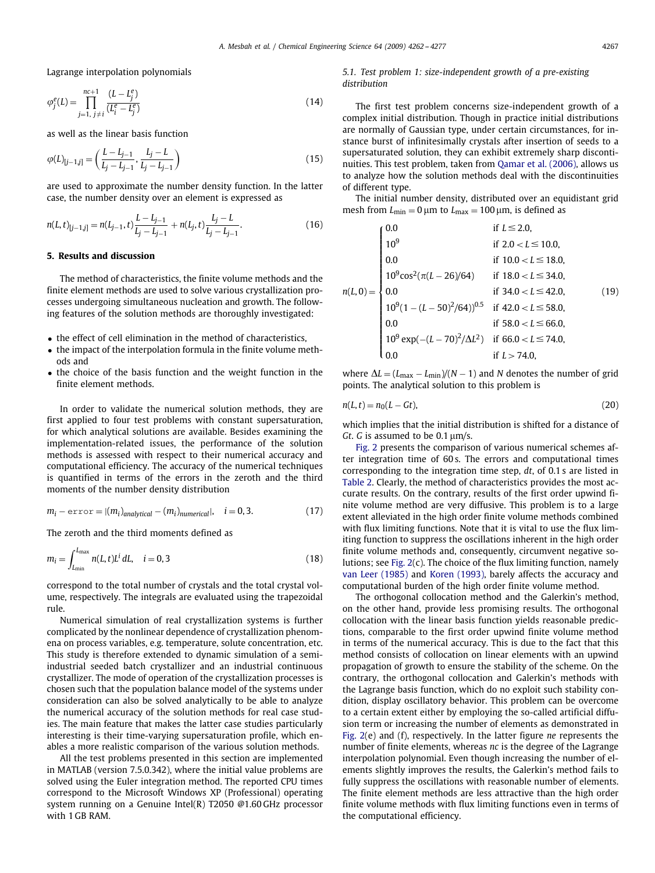Lagrange interpolation polynomials

$$
\varphi_j^e(L) = \prod_{j=1, j \neq i}^{nc+1} \frac{(L - L_j^e)}{(L_i^e - L_j^e)}
$$
(14)

as well as the linear basis function

$$
\varphi(L)_{[j-1,j]} = \left(\frac{L - L_{j-1}}{L_j - L_{j-1}}, \frac{L_j - L}{L_j - L_{j-1}}\right) \tag{15}
$$

are used to approximate the number density function. In the latter case, the number density over an element is expressed as

$$
n(L, t)_{[j-1,j]} = n(L_{j-1}, t) \frac{L - L_{j-1}}{L_j - L_{j-1}} + n(L_j, t) \frac{L_j - L}{L_j - L_{j-1}}.
$$
\n(16)

### **5. Results and discussion**

The method of characteristics, the finite volume methods and the finite element methods are used to solve various crystallization processes undergoing simultaneous nucleation and growth. The following features of the solution methods are thoroughly investigated:

- the effect of cell elimination in the method of characteristics,
- the impact of the interpolation formula in the finite volume methods and
- the choice of the basis function and the weight function in the finite element methods.

In order to validate the numerical solution methods, they are first applied to four test problems with constant supersaturation, for which analytical solutions are available. Besides examining the implementation-related issues, the performance of the solution methods is assessed with respect to their numerical accuracy and computational efficiency. The accuracy of the numerical techniques is quantified in terms of the errors in the zeroth and the third moments of the number density distribution

$$
m_i - \text{error} = |(m_i)_{analytical} - (m_i)_{numerical}|, \quad i = 0, 3. \tag{17}
$$

The zeroth and the third moments defined as

$$
m_i = \int_{L_{\min}}^{L_{\max}} n(L, t)L^i \, dL, \quad i = 0, 3 \tag{18}
$$

correspond to the total number of crystals and the total crystal volume, respectively. The integrals are evaluated using the trapezoidal rule.

Numerical simulation of real crystallization systems is further complicated by the nonlinear dependence of crystallization phenomena on process variables, e.g. temperature, solute concentration, etc. This study is therefore extended to dynamic simulation of a semiindustrial seeded batch crystallizer and an industrial continuous crystallizer. The mode of operation of the crystallization processes is chosen such that the population balance model of the systems under consideration can also be solved analytically to be able to analyze the numerical accuracy of the solution methods for real case studies. The main feature that makes the latter case studies particularly interesting is their time-varying supersaturation profile, which enables a more realistic comparison of the various solution methods.

All the test problems presented in this section are implemented in MATLAB (version 7.5.0.342), where the initial value problems are solved using the Euler integration method. The reported CPU times correspond to the Microsoft Windows XP (Professional) operating system running on a Genuine Intel(R) T2050 @1.60 GHz processor with 1 GB RAM.

*5.1. Test problem 1: size-independent growth of a pre-existing distribution*

The first test problem concerns size-independent growth of a complex initial distribution. Though in practice initial distributions are normally of Gaussian type, under certain circumstances, for instance burst of infinitesimally crystals after insertion of seeds to a supersaturated solution, they can exhibit extremely sharp discontinuities. This test problem, taken from [Qamar et al. \(2006\),](#page-15-10) allows us to analyze how the solution methods deal with the discontinuities of different type.

The initial number density, distributed over an equidistant grid mesh from  $L_{\text{min}} = 0 \,\mu\text{m}$  to  $L_{\text{max}} = 100 \,\mu\text{m}$ , is defined as

$$
n(L,0) = \begin{cases}\n0.0 & \text{if } L \le 2.0, \\
10^9 & \text{if } 2.0 < L \le 10.0, \\
0.0 & \text{if } 10.0 < L \le 18.0, \\
10^9 \cos^2(\pi(L - 26)/64) & \text{if } 18.0 < L \le 34.0, \\
0.0 & \text{if } 34.0 < L \le 42.0, \\
10^9 (1 - (L - 50)^2/64))^{0.5} & \text{if } 42.0 < L \le 58.0, \\
0.0 & \text{if } 58.0 < L \le 66.0, \\
10^9 \exp(-(L - 70)^2/\Delta L^2) & \text{if } 66.0 < L \le 74.0, \\
0.0 & \text{if } L > 74.0,\n\end{cases}
$$
\n(19)

where  $\Delta L = (L_{\text{max}} - L_{\text{min}})/(N - 1)$  and *N* denotes the number of grid points. The analytical solution to this problem is

$$
n(L, t) = n_0(L - Gt),
$$
\n(20)

which implies that the initial distribution is shifted for a distance of *Gt*. *G* is assumed to be 0.1 m*/*s.

[Fig. 2](#page-6-0) presents the comparison of various numerical schemes after integration time of 60 s. The errors and computational times corresponding to the integration time step, *dt*, of 0.1 s are listed in [Table 2.](#page-6-1) Clearly, the method of characteristics provides the most accurate results. On the contrary, results of the first order upwind finite volume method are very diffusive. This problem is to a large extent alleviated in the high order finite volume methods combined with flux limiting functions. Note that it is vital to use the flux limiting function to suppress the oscillations inherent in the high order finite volume methods and, consequently, circumvent negative solutions; see [Fig. 2\(](#page-6-0)c). The choice of the flux limiting function, namely [van Leer \(1985\)](#page-15-14) and [Koren \(1993\),](#page-14-5) barely affects the accuracy and computational burden of the high order finite volume method.

The orthogonal collocation method and the Galerkin's method, on the other hand, provide less promising results. The orthogonal collocation with the linear basis function yields reasonable predictions, comparable to the first order upwind finite volume method in terms of the numerical accuracy. This is due to the fact that this method consists of collocation on linear elements with an upwind propagation of growth to ensure the stability of the scheme. On the contrary, the orthogonal collocation and Galerkin's methods with the Lagrange basis function, which do no exploit such stability condition, display oscillatory behavior. This problem can be overcome to a certain extent either by employing the so-called artificial diffusion term or increasing the number of elements as demonstrated in [Fig. 2\(](#page-6-0)e) and (f), respectively. In the latter figure *ne* represents the number of finite elements, whereas *nc* is the degree of the Lagrange interpolation polynomial. Even though increasing the number of elements slightly improves the results, the Galerkin's method fails to fully suppress the oscillations with reasonable number of elements. The finite element methods are less attractive than the high order finite volume methods with flux limiting functions even in terms of the computational efficiency.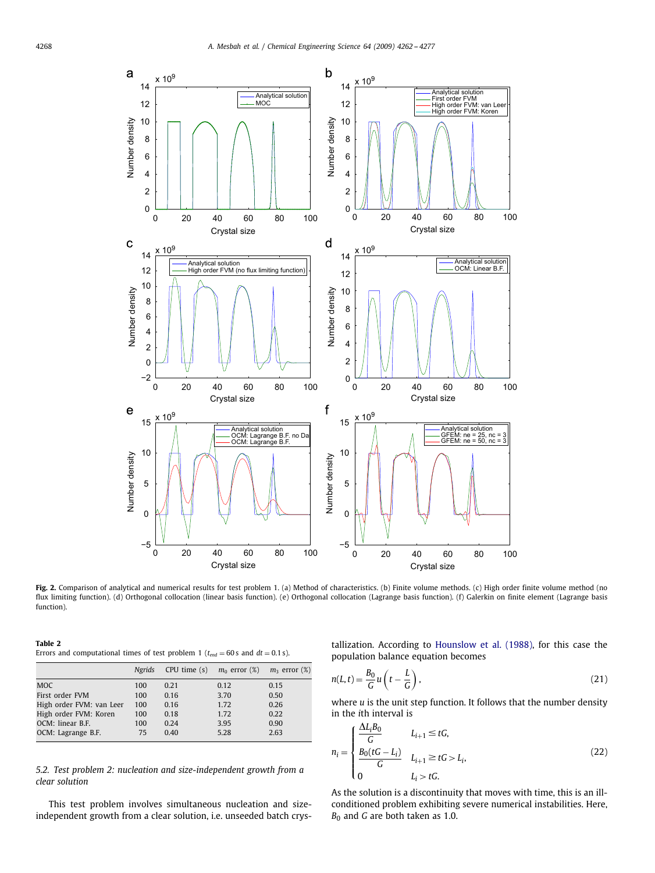

<span id="page-6-0"></span>Fig. 2. Comparison of analytical and numerical results for test problem 1. (a) Method of characteristics. (b) Finite volume methods. (c) High order finite volume method (no flux limiting function). (d) Orthogonal collocation (linear basis function). (e) Orthogonal collocation (Lagrange basis function). (f) Galerkin on finite element (Lagrange basis function).

| Table 2                                                                              |  |
|--------------------------------------------------------------------------------------|--|
| Errors and computational times of test problem 1 ( $t_{end}$ = 60s and $dt$ = 0.1s). |  |

|                          | Ngrids | $CPU$ time $(s)$ | $m_0$ error $(\%)$ | $m_3$ error $(\%)$ |
|--------------------------|--------|------------------|--------------------|--------------------|
| <b>MOC</b>               | 100    | 0.21             | 0.12               | 0.15               |
| First order FVM          | 100    | 0.16             | 3.70               | 0.50               |
| High order FVM: van Leer | 100    | 0.16             | 1.72               | 0.26               |
| High order FVM: Koren    | 100    | 0.18             | 1.72               | 0.22               |
| OCM: linear B.F.         | 100    | 0.24             | 3.95               | 0.90               |
| OCM: Lagrange B.F.       | 75     | 0.40             | 5.28               | 2.63               |
|                          |        |                  |                    |                    |

### *5.2. Test problem 2: nucleation and size-independent growth from a clear solution*

This test problem involves simultaneous nucleation and sizeindependent growth from a clear solution, i.e. unseeded batch crys<span id="page-6-1"></span>tallization. According to [Hounslow et al. \(1988\),](#page-14-7) for this case the population balance equation becomes

$$
n(L,t) = \frac{B_0}{G} u\left(t - \frac{L}{G}\right),\tag{21}
$$

where *u* is the unit step function. It follows that the number density in the *i*th interval is

$$
n_{i} = \begin{cases} \frac{\Delta L_{i} B_{0}}{G} & L_{i+1} \leq tG, \\ \frac{B_{0}(tG - L_{i})}{G} & L_{i+1} \geq tG > L_{i}, \\ 0 & L_{i} > tG. \end{cases}
$$
(22)

As the solution is a discontinuity that moves with time, this is an illconditioned problem exhibiting severe numerical instabilities. Here, *B*<sup>0</sup> and *G* are both taken as 1.0.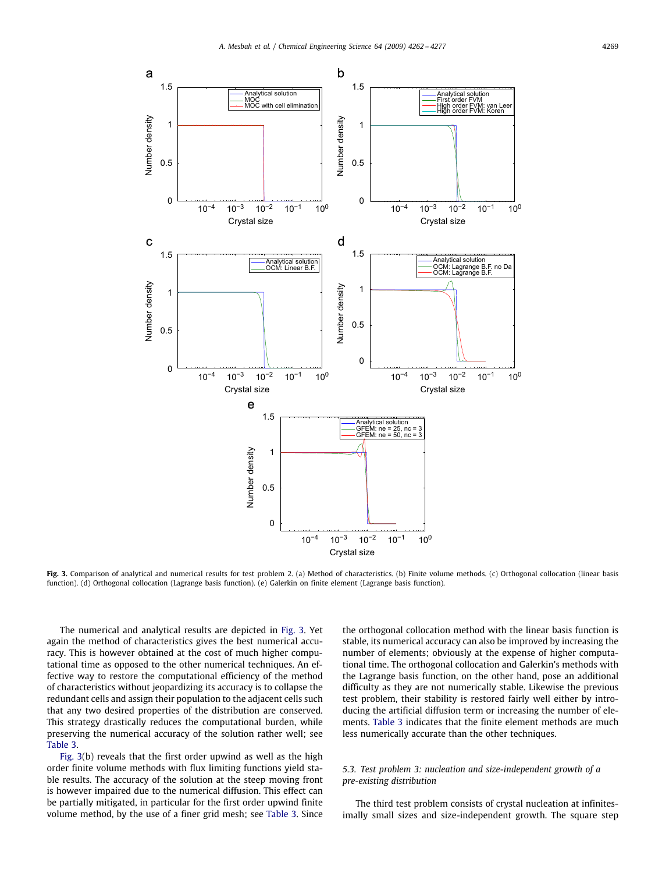

Fig. 3. Comparison of analytical and numerical results for test problem 2. (a) Method of characteristics. (b) Finite volume methods. (c) Orthogonal collocation (linear basis function). (d) Orthogonal collocation (Lagrange basis function). (e) Galerkin on finite element (Lagrange basis function).

The numerical and analytical results are depicted in [Fig. 3.](#page-7-0) Yet again the method of characteristics gives the best numerical accuracy. This is however obtained at the cost of much higher computational time as opposed to the other numerical techniques. An effective way to restore the computational efficiency of the method of characteristics without jeopardizing its accuracy is to collapse the redundant cells and assign their population to the adjacent cells such that any two desired properties of the distribution are conserved. This strategy drastically reduces the computational burden, while preserving the numerical accuracy of the solution rather well; see [Table 3.](#page-8-0)

[Fig. 3\(](#page-7-0)b) reveals that the first order upwind as well as the high order finite volume methods with flux limiting functions yield stable results. The accuracy of the solution at the steep moving front is however impaired due to the numerical diffusion. This effect can be partially mitigated, in particular for the first order upwind finite volume method, by the use of a finer grid mesh; see [Table 3.](#page-8-0) Since <span id="page-7-0"></span>the orthogonal collocation method with the linear basis function is stable, its numerical accuracy can also be improved by increasing the number of elements; obviously at the expense of higher computational time. The orthogonal collocation and Galerkin's methods with the Lagrange basis function, on the other hand, pose an additional difficulty as they are not numerically stable. Likewise the previous test problem, their stability is restored fairly well either by introducing the artificial diffusion term or increasing the number of elements. [Table 3](#page-8-0) indicates that the finite element methods are much less numerically accurate than the other techniques.

### *5.3. Test problem 3: nucleation and size-independent growth of a pre-existing distribution*

The third test problem consists of crystal nucleation at infinitesimally small sizes and size-independent growth. The square step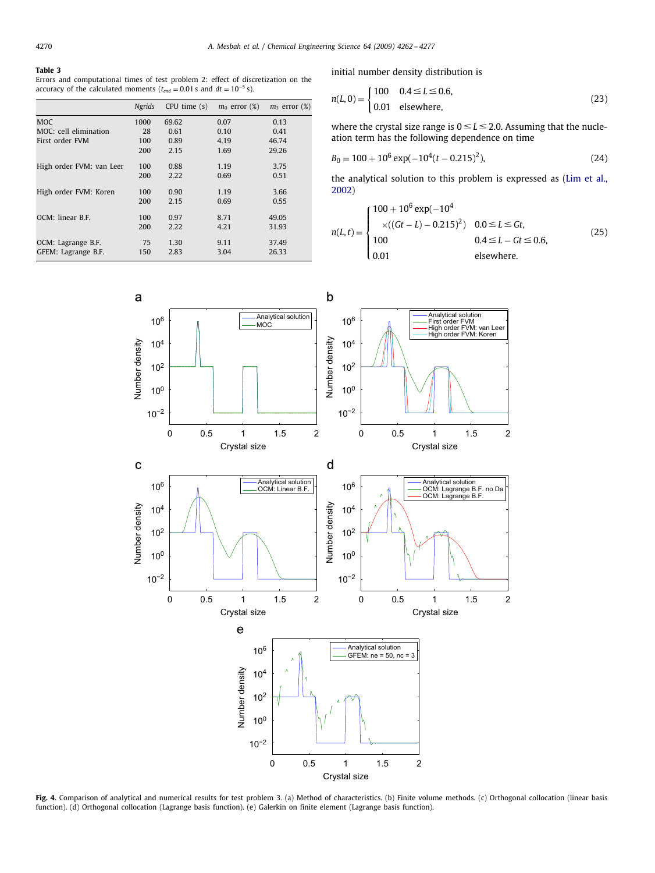Errors and computational times of test problem 2: effect of discretization on the accuracy of the calculated moments ( $t_{end}$  = 0.01 s and  $dt$  = 10<sup>-5</sup> s).

|                          | Ngrids | CPU time(s) | $m_0$ error $(\%)$ | $m_3$ error $(\%)$ |
|--------------------------|--------|-------------|--------------------|--------------------|
| <b>MOC</b>               | 1000   | 69.62       | 0.07               | 0.13               |
| MOC: cell elimination    | 28     | 0.61        | 0.10               | 0.41               |
| First order FVM          | 100    | 0.89        | 4.19               | 46.74              |
|                          | 200    | 2.15        | 1.69               | 29.26              |
| High order FVM: van Leer | 100    | 0.88        | 1.19               | 3.75               |
|                          | 200    | 2.22        | 0.69               | 0.51               |
| High order FVM: Koren    | 100    | 0.90        | 1.19               | 3.66               |
|                          | 200    | 2.15        | 0.69               | 0.55               |
| OCM: linear B.F.         | 100    | 0.97        | 8.71               | 49.05              |
|                          | 200    | 2.22        | 4.21               | 31.93              |
| OCM: Lagrange B.F.       | 75     | 1.30        | 9.11               | 37.49              |
| GFEM: Lagrange B.F.      | 150    | 2.83        | 3.04               | 26.33              |

initial number density distribution is

<span id="page-8-0"></span>
$$
n(L, 0) = \begin{cases} 100 & 0.4 \le L \le 0.6, \\ 0.01 & \text{elsewhere,} \end{cases}
$$
 (23)

where the crystal size range is  $0 \le L \le 2.0$ . Assuming that the nucleation term has the following dependence on time

$$
B_0 = 100 + 10^6 \exp(-10^4 (t - 0.215)^2), \tag{24}
$$

the analytical solution to this problem is expressed as [\(Lim et al.,](#page-15-17) [2002\)](#page-15-17)

$$
n(L,t) = \begin{cases} 100 + 10^{6} \exp(-10^{4}) \\ \times ((Gt - L) - 0.215)^{2}) & 0.0 \le L \le Gt, \\ 100 & 0.4 \le L - Gt \le 0.6, \\ 0.01 & \text{elsewhere.} \end{cases}
$$
(25)



<span id="page-8-1"></span>Fig. 4. Comparison of analytical and numerical results for test problem 3. (a) Method of characteristics. (b) Finite volume methods. (c) Orthogonal collocation (linear basis function). (d) Orthogonal collocation (Lagrange basis function). (e) Galerkin on finite element (Lagrange basis function).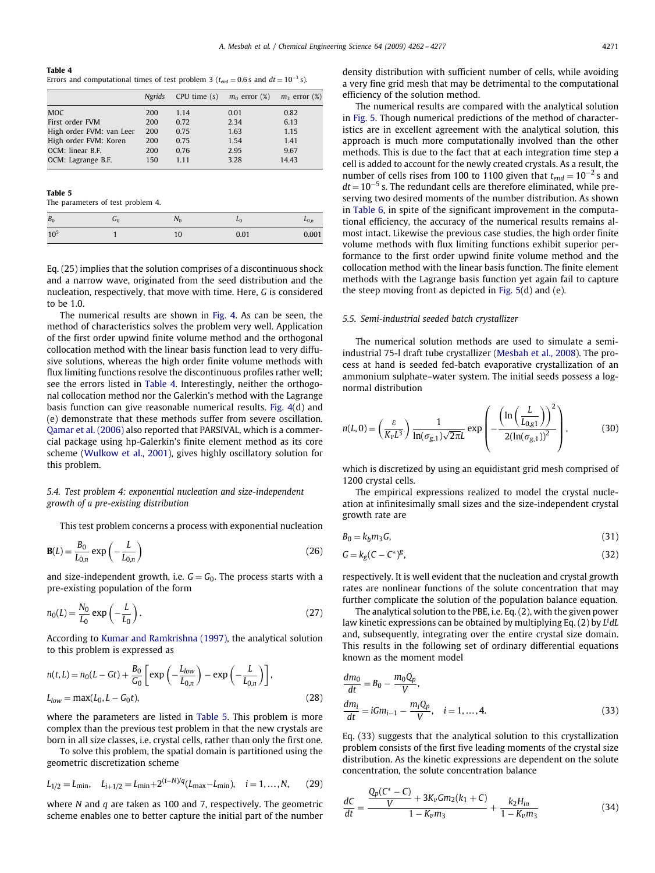Errors and computational times of test problem 3 ( $t_{end} = 0.6$  s and  $dt = 10^{-3}$  s).

|                          | Ngrids | $CPU$ time $(s)$ | $m_0$ error $(\%)$ | $m_3$ error $(\%)$ |
|--------------------------|--------|------------------|--------------------|--------------------|
| <b>MOC</b>               | 200    | 1.14             | 0.01               | 0.82               |
| First order FVM          | 200    | 0.72             | 2.34               | 6.13               |
| High order FVM: van Leer | 200    | 0.75             | 1.63               | 1.15               |
| High order FVM: Koren    | 200    | 0.75             | 1.54               | 1.41               |
| OCM: linear B.F.         | 200    | 0.76             | 2.95               | 9.67               |
| OCM: Lagrange B.F.       | 150    | 1.11             | 3.28               | 14.43              |
|                          |        |                  |                    |                    |

#### <span id="page-9-1"></span>**Table 5**

The parameters of test problem 4.

| $B_0$           | ՄՕ | $N_0$ | L <sub>0</sub> | $L_{0,n}$ |
|-----------------|----|-------|----------------|-----------|
| 10 <sup>5</sup> |    | 10    | 0.01           | 0.001     |

Eq. (25) implies that the solution comprises of a discontinuous shock and a narrow wave, originated from the seed distribution and the nucleation, respectively, that move with time. Here, *G* is considered to be  $1.0$ 

The numerical results are shown in [Fig. 4.](#page-8-1) As can be seen, the method of characteristics solves the problem very well. Application of the first order upwind finite volume method and the orthogonal collocation method with the linear basis function lead to very diffusive solutions, whereas the high order finite volume methods with flux limiting functions resolve the discontinuous profiles rather well; see the errors listed in [Table 4.](#page-9-0) Interestingly, neither the orthogonal collocation method nor the Galerkin's method with the Lagrange basis function can give reasonable numerical results. [Fig. 4\(](#page-8-1)d) and (e) demonstrate that these methods suffer from severe oscillation. [Qamar et al. \(2006\)](#page-15-10) also reported that PARSIVAL, which is a commercial package using hp-Galerkin's finite element method as its core scheme [\(Wulkow et al., 2001\)](#page-15-18), gives highly oscillatory solution for this problem.

### *5.4. Test problem 4: exponential nucleation and size-independent growth of a pre-existing distribution*

This test problem concerns a process with exponential nucleation

$$
\mathbf{B}(L) = \frac{B_0}{L_{0,n}} \exp\left(-\frac{L}{L_{0,n}}\right)
$$
 (26)

and size-independent growth, i.e.  $G = G_0$ . The process starts with a pre-existing population of the form

$$
n_0(L) = \frac{N_0}{L_0} \exp\left(-\frac{L}{L_0}\right). \tag{27}
$$

According to [Kumar and Ramkrishna \(1997\),](#page-14-2) the analytical solution to this problem is expressed as

$$
n(t, L) = n_0(L - Gt) + \frac{B_0}{G_0} \left[ \exp\left(-\frac{L_{low}}{L_{0,n}}\right) - \exp\left(-\frac{L}{L_{0,n}}\right) \right],
$$
  
\n
$$
L_{low} = \max(L_0, L - G_0 t),
$$
\n(28)

where the parameters are listed in [Table 5.](#page-9-1) This problem is more complex than the previous test problem in that the new crystals are born in all size classes, i.e. crystal cells, rather than only the first one.

To solve this problem, the spatial domain is partitioned using the geometric discretization scheme

$$
L_{1/2} = L_{\min}, \quad L_{i+1/2} = L_{\min} + 2^{(i-N)/q} (L_{\max} - L_{\min}), \quad i = 1, ..., N,
$$
 (29)

where *N* and *q* are taken as 100 and 7, respectively. The geometric scheme enables one to better capture the initial part of the number <span id="page-9-0"></span>density distribution with sufficient number of cells, while avoiding a very fine grid mesh that may be detrimental to the computational efficiency of the solution method.

The numerical results are compared with the analytical solution in [Fig. 5.](#page-10-0) Though numerical predictions of the method of characteristics are in excellent agreement with the analytical solution, this approach is much more computationally involved than the other methods. This is due to the fact that at each integration time step a cell is added to account for the newly created crystals. As a result, the number of cells rises from 100 to 1100 given that  $t_{end} = 10^{-2}$  s and *dt* = 10<sup>−5</sup> s. The redundant cells are therefore eliminated, while preserving two desired moments of the number distribution. As shown in [Table 6,](#page-10-1) in spite of the significant improvement in the computational efficiency, the accuracy of the numerical results remains almost intact. Likewise the previous case studies, the high order finite volume methods with flux limiting functions exhibit superior performance to the first order upwind finite volume method and the collocation method with the linear basis function. The finite element methods with the Lagrange basis function yet again fail to capture the steep moving front as depicted in [Fig. 5\(](#page-10-0)d) and (e).

#### *5.5. Semi-industrial seeded batch crystallizer*

The numerical solution methods are used to simulate a semiindustrial 75-l draft tube crystallizer [\(Mesbah et al., 2008\)](#page-15-19). The process at hand is seeded fed-batch evaporative crystallization of an ammonium sulphate–water system. The initial seeds possess a lognormal distribution

$$
n(L,0) = \left(\frac{\varepsilon}{K_{\nu}L^3}\right) \frac{1}{\ln(\sigma_{g,1})\sqrt{2\pi}L} \exp\left(-\frac{\left(\ln\left(\frac{L}{L_{0,g1}}\right)\right)^2}{2(\ln(\sigma_{g,1}))^2}\right),\tag{30}
$$

which is discretized by using an equidistant grid mesh comprised of 1200 crystal cells.

The empirical expressions realized to model the crystal nucleation at infinitesimally small sizes and the size-independent crystal growth rate are

$$
B_0 = k_b m_3 G,\tag{31}
$$

$$
G = k_g (C - C^*)^g,
$$
\n(32)

respectively. It is well evident that the nucleation and crystal growth rates are nonlinear functions of the solute concentration that may further complicate the solution of the population balance equation.

The analytical solution to the PBE, i.e. Eq. (2), with the given power law kinetic expressions can be obtained by multiplying Eq. (2) by *L<sup>i</sup> dL* and, subsequently, integrating over the entire crystal size domain. This results in the following set of ordinary differential equations known as the moment model

$$
\frac{dm_0}{dt} = B_0 - \frac{m_0 Q_p}{V}, \n\frac{dm_i}{dt} = iGm_{i-1} - \frac{m_i Q_p}{V}, \quad i = 1, ..., 4.
$$
\n(33)

Eq. (33) suggests that the analytical solution to this crystallization problem consists of the first five leading moments of the crystal size distribution. As the kinetic expressions are dependent on the solute concentration, the solute concentration balance

$$
\frac{dC}{dt} = \frac{\frac{Q_p(C^* - C)}{V} + 3K_v G m_2 (k_1 + C)}{1 - K_v m_3} + \frac{k_2 H_{in}}{1 - K_v m_3} \tag{34}
$$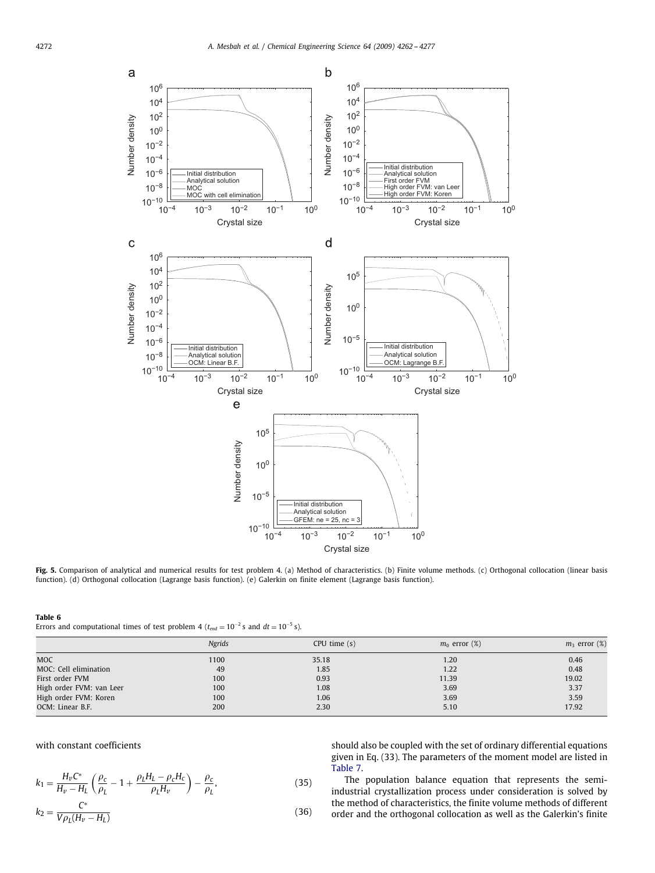

Fig. 5. Comparison of analytical and numerical results for test problem 4. (a) Method of characteristics. (b) Finite volume methods. (c) Orthogonal collocation (linear basis function). (d) Orthogonal collocation (Lagrange basis function). (e) Galerkin on finite element (Lagrange basis function).

Errors and computational times of test problem 4 ( $t_{end} = 10^{-2}$  s and  $dt = 10^{-5}$  s).

|                          | <b>Ngrids</b> | CPU time(s) | $m_0$ error $(\%)$ | $m_3$ error $(\%)$ |
|--------------------------|---------------|-------------|--------------------|--------------------|
| <b>MOC</b>               | 1100          | 35.18       | 1.20               | 0.46               |
| MOC: Cell elimination    | 49            | 1.85        | 1.22               | 0.48               |
| First order FVM          | 100           | 0.93        | 11.39              | 19.02              |
| High order FVM: van Leer | 100           | 1.08        | 3.69               | 3.37               |
| High order FVM: Koren    | 100           | 1.06        | 3.69               | 3.59               |
| OCM: Linear B.F.         | 200           | 2.30        | 5.10               | 17.92              |

with constant coefficients

$$
k_1 = \frac{H_\nu C^*}{H_\nu - H_L} \left( \frac{\rho_c}{\rho_L} - 1 + \frac{\rho_L H_L - \rho_c H_c}{\rho_L H_\nu} \right) - \frac{\rho_c}{\rho_L},\tag{35}
$$

$$
k_2 = \frac{C^*}{V \rho_L (H_v - H_L)}\tag{36}
$$

<span id="page-10-1"></span><span id="page-10-0"></span>should also be coupled with the set of ordinary differential equations given in Eq. (33). The parameters of the moment model are listed in [Table 7.](#page-11-0)

The population balance equation that represents the semiindustrial crystallization process under consideration is solved by the method of characteristics, the finite volume methods of different order and the orthogonal collocation as well as the Galerkin's finite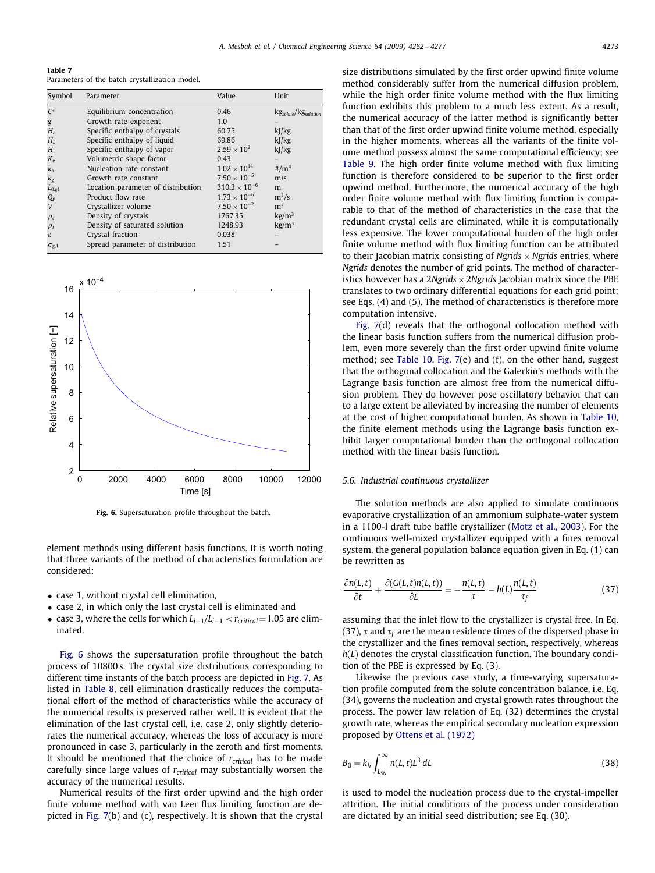**Table 7** Parameters of the batch crystallization model.

| Symbol          | Parameter                          | Value                  | Unit                  |
|-----------------|------------------------------------|------------------------|-----------------------|
| $\mathcal{C}^*$ | Equilibrium concentration          | 0.46                   | $kgsolute/kgsolution$ |
| g               | Growth rate exponent               | 1.0                    |                       |
| $H_c$           | Specific enthalpy of crystals      | 60.75                  | $k$ ]/ $kg$           |
| $H_L$           | Specific enthalpy of liquid        | 69.86                  | $k$ ]/ $kg$           |
| $H_{\nu}$       | Specific enthalpy of vapor         | $2.59 \times 10^{3}$   | $k$ ]/ $kg$           |
| $K_{\nu}$       | Volumetric shape factor            | 0.43                   |                       |
| k <sub>b</sub>  | Nucleation rate constant           | $1.02 \times 10^{14}$  | $\# / m4$             |
| $k_{\rm g}$     | Growth rate constant               | $7.50 \times 10^{-5}$  | m/s                   |
| $L_{0,g1}$      | Location parameter of distribution | $310.3 \times 10^{-6}$ | m                     |
| $Q_p$           | Product flow rate                  | $1.73 \times 10^{-6}$  | $m^3/s$               |
| V               | Crystallizer volume                | $7.50 \times 10^{-2}$  | m <sup>3</sup>        |
| $\rho_c$        | Density of crystals                | 1767.35                | kg/m <sup>3</sup>     |
| $\rho_L$        | Density of saturated solution      | 1248.93                | kg/m <sup>3</sup>     |
| $\mathcal{E}$   | Crystal fraction                   | 0.038                  |                       |
| $\sigma_{g,1}$  | Spread parameter of distribution   | 1.51                   |                       |



**Fig. 6.** Supersaturation profile throughout the batch.

element methods using different basis functions. It is worth noting that three variants of the method of characteristics formulation are considered:

- case 1, without crystal cell elimination,
- case 2, in which only the last crystal cell is eliminated and
- case 3, where the cells for which  $L_{i+1}/L_{i-1} < r_{critical} = 1.05$  are eliminated.

[Fig. 6](#page-11-1) shows the supersaturation profile throughout the batch process of 10800 s. The crystal size distributions corresponding to different time instants of the batch process are depicted in [Fig. 7.](#page-12-0) As listed in [Table 8,](#page-12-1) cell elimination drastically reduces the computational effort of the method of characteristics while the accuracy of the numerical results is preserved rather well. It is evident that the elimination of the last crystal cell, i.e. case 2, only slightly deteriorates the numerical accuracy, whereas the loss of accuracy is more pronounced in case 3, particularly in the zeroth and first moments. It should be mentioned that the choice of *rcritical* has to be made carefully since large values of *r<sub>critical</sub>* may substantially worsen the accuracy of the numerical results.

Numerical results of the first order upwind and the high order finite volume method with van Leer flux limiting function are depicted in [Fig. 7\(](#page-12-0)b) and (c), respectively. It is shown that the crystal <span id="page-11-0"></span>size distributions simulated by the first order upwind finite volume method considerably suffer from the numerical diffusion problem, while the high order finite volume method with the flux limiting function exhibits this problem to a much less extent. As a result, the numerical accuracy of the latter method is significantly better than that of the first order upwind finite volume method, especially in the higher moments, whereas all the variants of the finite volume method possess almost the same computational efficiency; see [Table 9.](#page-13-0) The high order finite volume method with flux limiting function is therefore considered to be superior to the first order upwind method. Furthermore, the numerical accuracy of the high order finite volume method with flux limiting function is comparable to that of the method of characteristics in the case that the redundant crystal cells are eliminated, while it is computationally less expensive. The lower computational burden of the high order finite volume method with flux limiting function can be attributed to their Jacobian matrix consisting of *Ngrids*  $\times$  *Ngrids* entries, where *Ngrids* denotes the number of grid points. The method of characteristics however has a 2*Ngrids*×2*Ngrids* Jacobian matrix since the PBE translates to two ordinary differential equations for each grid point; see Eqs. (4) and (5). The method of characteristics is therefore more computation intensive.

[Fig. 7\(](#page-12-0)d) reveals that the orthogonal collocation method with the linear basis function suffers from the numerical diffusion problem, even more severely than the first order upwind finite volume method; see [Table 10.](#page-13-1) [Fig. 7\(](#page-12-0)e) and (f), on the other hand, suggest that the orthogonal collocation and the Galerkin's methods with the Lagrange basis function are almost free from the numerical diffusion problem. They do however pose oscillatory behavior that can to a large extent be alleviated by increasing the number of elements at the cost of higher computational burden. As shown in [Table 10,](#page-13-1) the finite element methods using the Lagrange basis function exhibit larger computational burden than the orthogonal collocation method with the linear basis function.

### *5.6. Industrial continuous crystallizer*

<span id="page-11-1"></span>The solution methods are also applied to simulate continuous evaporative crystallization of an ammonium sulphate-water system in a 1100-l draft tube baffle crystallizer [\(Motz et al., 2003\)](#page-15-20). For the continuous well-mixed crystallizer equipped with a fines removal system, the general population balance equation given in Eq. (1) can be rewritten as

$$
\frac{\partial n(L,t)}{\partial t} + \frac{\partial (G(L,t)n(L,t))}{\partial L} = -\frac{n(L,t)}{\tau} - h(L)\frac{n(L,t)}{\tau_f}
$$
(37)

assuming that the inlet flow to the crystallizer is crystal free. In Eq. (37),  $\tau$  and  $\tau_f$  are the mean residence times of the dispersed phase in the crystallizer and the fines removal section, respectively, whereas *h*(*L*) denotes the crystal classification function. The boundary condition of the PBE is expressed by Eq. (3).

Likewise the previous case study, a time-varying supersaturation profile computed from the solute concentration balance, i.e. Eq. (34), governs the nucleation and crystal growth rates throughout the process. The power law relation of Eq. (32) determines the crystal growth rate, whereas the empirical secondary nucleation expression proposed by [Ottens et al. \(1972\)](#page-15-21)

$$
B_0 = k_b \int_{L_{SN}}^{\infty} n(L, t)L^3 dL \tag{38}
$$

is used to model the nucleation process due to the crystal-impeller attrition. The initial conditions of the process under consideration are dictated by an initial seed distribution; see Eq. (30).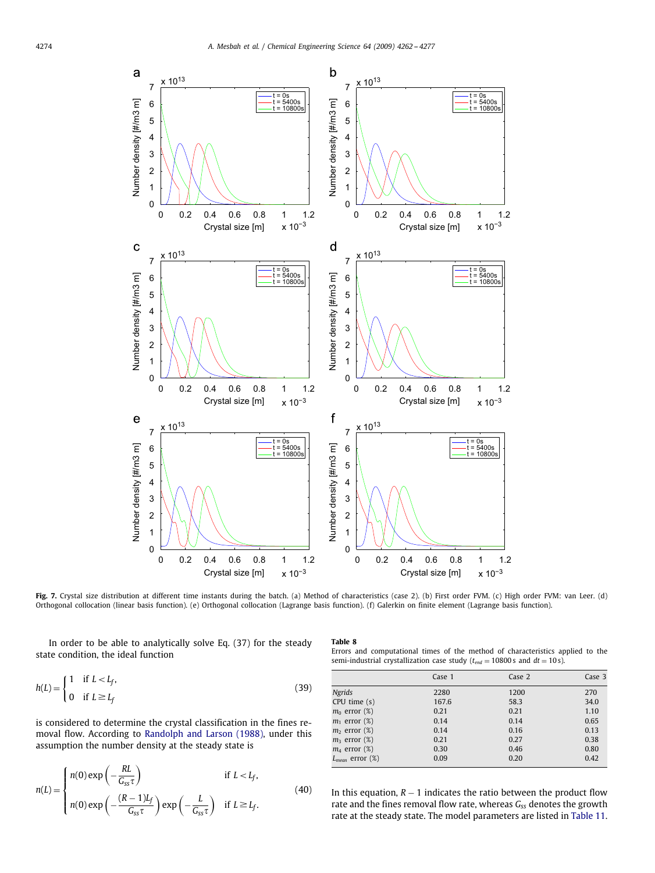

Fig. 7. Crystal size distribution at different time instants during the batch. (a) Method of characteristics (case 2). (b) First order FVM. (c) High order FVM: van Leer. (d) Orthogonal collocation (linear basis function). (e) Orthogonal collocation (Lagrange basis function). (f) Galerkin on finite element (Lagrange basis function).

In order to be able to analytically solve Eq. (37) for the steady state condition, the ideal function

$$
h(L) = \begin{cases} 1 & \text{if } L < L_f, \\ 0 & \text{if } L \ge L_f \end{cases} \tag{39}
$$

is considered to determine the crystal classification in the fines removal flow. According to [Randolph and Larson \(1988\),](#page-15-22) under this assumption the number density at the steady state is

$$
n(L) = \begin{cases} n(0) \exp\left(-\frac{RL}{G_{ss}\tau}\right) & \text{if } L < L_f, \\ n(0) \exp\left(-\frac{(R-1)L_f}{G_{ss}\tau}\right) \exp\left(-\frac{L}{G_{ss}\tau}\right) & \text{if } L \ge L_f. \end{cases}
$$
(40)

#### <span id="page-12-1"></span><span id="page-12-0"></span>**Table 8**

Errors and computational times of the method of characteristics applied to the semi-industrial crystallization case study  $(t_{end} = 10800 s$  and  $dt = 10 s$ ).

|                                               | Case 1        | Case 2       | Case 3       |
|-----------------------------------------------|---------------|--------------|--------------|
| <b>Ngrids</b>                                 | 2280          | 1200         | 270          |
| CPU time(s)<br>$m_0$ error $(\%)$             | 167.6<br>0.21 | 58.3<br>0.21 | 34.0<br>1.10 |
| $m_1$ error $(\%)$                            | 0.14          | 0.14         | 0.65         |
| $m_2$ error $(\%)$                            | 0.14          | 0.16         | 0.13         |
| $m_3$ error $(\%)$                            | 0.21          | 0.27         | 0.38         |
| $m_4$ error $(\%)$<br>$L_{mean}$ error $(\%)$ | 0.30<br>0.09  | 0.46<br>0.20 | 0.80<br>0.42 |

In this equation,  $R - 1$  indicates the ratio between the product flow rate and the fines removal flow rate, whereas *Gss* denotes the growth rate at the steady state. The model parameters are listed in [Table 11.](#page-13-2)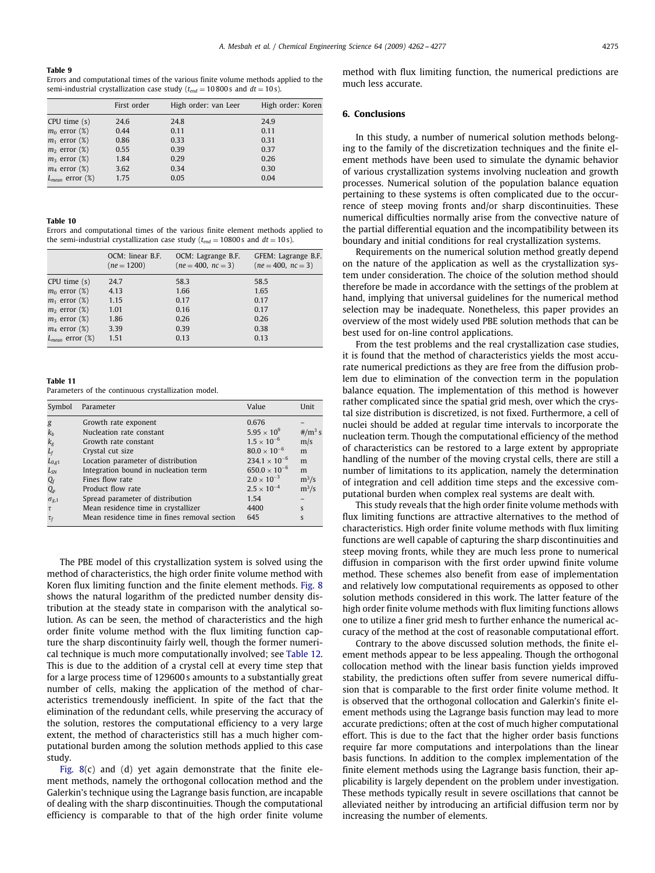Errors and computational times of the various finite volume methods applied to the semi-industrial crystallization case study  $(t_{end} = 10800 s$  and  $dt = 10 s$ ).

|                         | First order | High order: van Leer | High order: Koren |
|-------------------------|-------------|----------------------|-------------------|
| CPU time(s)             | 24.6        | 24.8                 | 24.9              |
| $m_0$ error $(\%)$      | 0.44        | 0.11                 | 0.11              |
| $m_1$ error $(\%)$      | 0.86        | 0.33                 | 0.31              |
| $m2$ error $(\%)$       | 0.55        | 0.39                 | 0.37              |
| $m_3$ error $(\%)$      | 1.84        | 0.29                 | 0.26              |
| $m_4$ error $(\%)$      | 3.62        | 0.34                 | 0.30              |
| $L_{mean}$ error $(\%)$ | 1.75        | 0.05                 | 0.04              |

#### **Table 10**

Errors and computational times of the various finite element methods applied to the semi-industrial crystallization case study ( $t_{end}$  = 10800s and  $dt$  = 10s).

|                      | OCM: linear B.F.<br>$(ne = 1200)$ | OCM: Lagrange B.F.<br>$(ne = 400, \; nc = 3)$ | GFEM: Lagrange B.F.<br>$(ne = 400, nc = 3)$ |
|----------------------|-----------------------------------|-----------------------------------------------|---------------------------------------------|
| CPU time(s)          | 24.7                              | 58.3                                          | 58.5                                        |
| $m_0$ error $(\%)$   | 4.13                              | 1.66                                          | 1.65                                        |
| $m_1$ error $(\%)$   | 1.15                              | 0.17                                          | 0.17                                        |
| $m_2$ error $(\%)$   | 1.01                              | 0.16                                          | 0.17                                        |
| $m_3$ error $(\%)$   | 1.86                              | 0.26                                          | 0.26                                        |
| $m_4$ error $(\%)$   | 3.39                              | 0.39                                          | 0.38                                        |
| $L_{mean}$ error (%) | 1.51                              | 0.13                                          | 0.13                                        |

#### **Table 11**

Parameters of the continuous crystallization model.

| Symbol         | Parameter                                    | Value                  | Unit                            |
|----------------|----------------------------------------------|------------------------|---------------------------------|
| g              | Growth rate exponent                         | 0.676                  |                                 |
| k <sub>b</sub> | Nucleation rate constant                     | $5.95 \times 10^{9}$   | $\frac{\text{H}}{\text{m}^3}$ s |
| $k_{\rm g}$    | Growth rate constant                         | $1.5 \times 10^{-6}$   | m/s                             |
| $L_f$          | Crystal cut size                             | $80.0 \times 10^{-6}$  | m                               |
| $L_{0,g1}$     | Location parameter of distribution           | $234.1 \times 10^{-6}$ | m                               |
| $L_{SN}$       | Integration bound in nucleation term         | $650.0 \times 10^{-6}$ | m                               |
| $Q_{\!f}$      | Fines flow rate                              | $2.0 \times 10^{-3}$   | $m^3/s$                         |
| $Q_p$          | Product flow rate                            | $2.5 \times 10^{-4}$   | $m^3/s$                         |
| $\sigma_{g,1}$ | Spread parameter of distribution             | 1.54                   |                                 |
| $\tau$         | Mean residence time in crystallizer          | 4400                   | S                               |
| $\tau_f$       | Mean residence time in fines removal section | 645                    | S                               |

The PBE model of this crystallization system is solved using the method of characteristics, the high order finite volume method with Koren flux limiting function and the finite element methods. [Fig. 8](#page-14-8) shows the natural logarithm of the predicted number density distribution at the steady state in comparison with the analytical solution. As can be seen, the method of characteristics and the high order finite volume method with the flux limiting function capture the sharp discontinuity fairly well, though the former numerical technique is much more computationally involved; see [Table 12.](#page-14-9) This is due to the addition of a crystal cell at every time step that for a large process time of 129600 s amounts to a substantially great number of cells, making the application of the method of characteristics tremendously inefficient. In spite of the fact that the elimination of the redundant cells, while preserving the accuracy of the solution, restores the computational efficiency to a very large extent, the method of characteristics still has a much higher computational burden among the solution methods applied to this case study.

[Fig. 8\(](#page-14-8)c) and (d) yet again demonstrate that the finite element methods, namely the orthogonal collocation method and the Galerkin's technique using the Lagrange basis function, are incapable of dealing with the sharp discontinuities. Though the computational efficiency is comparable to that of the high order finite volume method with flux limiting function, the numerical predictions are much less accurate.

### <span id="page-13-0"></span>**6. Conclusions**

In this study, a number of numerical solution methods belonging to the family of the discretization techniques and the finite element methods have been used to simulate the dynamic behavior of various crystallization systems involving nucleation and growth processes. Numerical solution of the population balance equation pertaining to these systems is often complicated due to the occurrence of steep moving fronts and/or sharp discontinuities. These numerical difficulties normally arise from the convective nature of the partial differential equation and the incompatibility between its boundary and initial conditions for real crystallization systems.

<span id="page-13-1"></span>Requirements on the numerical solution method greatly depend on the nature of the application as well as the crystallization system under consideration. The choice of the solution method should therefore be made in accordance with the settings of the problem at hand, implying that universal guidelines for the numerical method selection may be inadequate. Nonetheless, this paper provides an overview of the most widely used PBE solution methods that can be best used for on-line control applications.

<span id="page-13-2"></span>From the test problems and the real crystallization case studies, it is found that the method of characteristics yields the most accurate numerical predictions as they are free from the diffusion problem due to elimination of the convection term in the population balance equation. The implementation of this method is however rather complicated since the spatial grid mesh, over which the crystal size distribution is discretized, is not fixed. Furthermore, a cell of nuclei should be added at regular time intervals to incorporate the nucleation term. Though the computational efficiency of the method of characteristics can be restored to a large extent by appropriate handling of the number of the moving crystal cells, there are still a number of limitations to its application, namely the determination of integration and cell addition time steps and the excessive computational burden when complex real systems are dealt with.

This study reveals that the high order finite volume methods with flux limiting functions are attractive alternatives to the method of characteristics. High order finite volume methods with flux limiting functions are well capable of capturing the sharp discontinuities and steep moving fronts, while they are much less prone to numerical diffusion in comparison with the first order upwind finite volume method. These schemes also benefit from ease of implementation and relatively low computational requirements as opposed to other solution methods considered in this work. The latter feature of the high order finite volume methods with flux limiting functions allows one to utilize a finer grid mesh to further enhance the numerical accuracy of the method at the cost of reasonable computational effort.

Contrary to the above discussed solution methods, the finite element methods appear to be less appealing. Though the orthogonal collocation method with the linear basis function yields improved stability, the predictions often suffer from severe numerical diffusion that is comparable to the first order finite volume method. It is observed that the orthogonal collocation and Galerkin's finite element methods using the Lagrange basis function may lead to more accurate predictions; often at the cost of much higher computational effort. This is due to the fact that the higher order basis functions require far more computations and interpolations than the linear basis functions. In addition to the complex implementation of the finite element methods using the Lagrange basis function, their applicability is largely dependent on the problem under investigation. These methods typically result in severe oscillations that cannot be alleviated neither by introducing an artificial diffusion term nor by increasing the number of elements.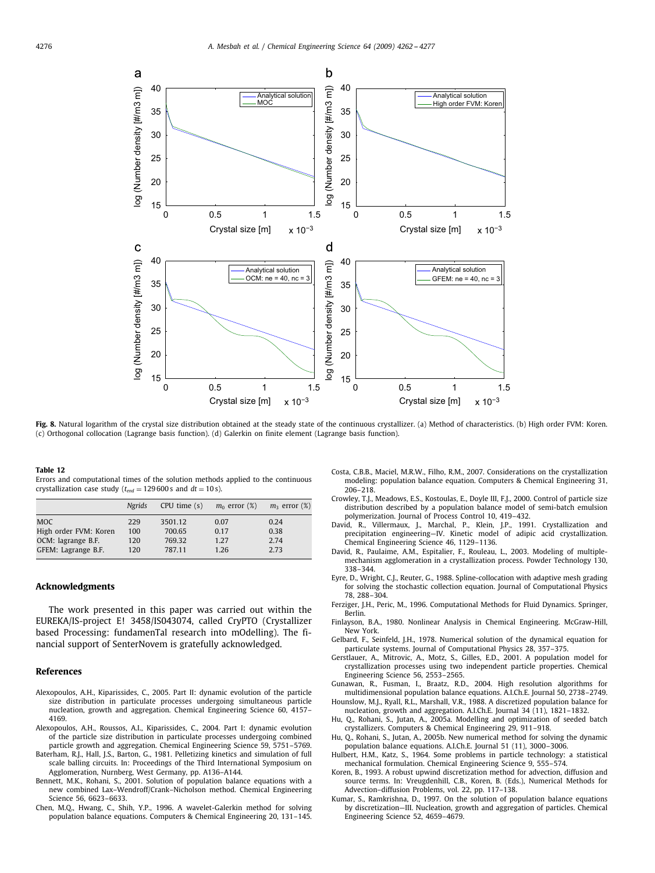

Fig. 8. Natural logarithm of the crystal size distribution obtained at the steady state of the continuous crystallizer. (a) Method of characteristics. (b) High order FVM: Koren. (c) Orthogonal collocation (Lagrange basis function). (d) Galerkin on finite element (Lagrange basis function).

Errors and computational times of the solution methods applied to the continuous crystallization case study ( $t_{end}$  = 129 600 s and  $dt$  = 10 s).

|                       | Ngrids | CPU time(s) | $m_0$ error $(\%)$ | $m_3$ error $(\%)$ |
|-----------------------|--------|-------------|--------------------|--------------------|
| <b>MOC</b>            | 229    | 3501.12     | 0.07               | 0.24               |
| High order FVM: Koren | 100    | 700.65      | 0.17               | 0.38               |
| OCM: lagrange B.F.    | 120    | 769.32      | 1.27               | 2.74               |
| GFEM: Lagrange B.F.   | 120    | 787.11      | 1.26               | 2.73               |

### **Acknowledgments**

The work presented in this paper was carried out within the EUREKA/IS-project E! 3458/IS043074, called CryPTO (Crystallizer based Processing: fundamenTal research into mOdelling). The financial support of SenterNovem is gratefully acknowledged.

### **References**

- Alexopoulos, A.H., Kiparissides, C., 2005. Part II: dynamic evolution of the particle size distribution in particulate processes undergoing simultaneous particle nucleation, growth and aggregation. Chemical Engineering Science 60, 4157– 4169.
- Alexopoulos, A.H., Roussos, A.I., Kiparissides, C., 2004. Part I: dynamic evolution of the particle size distribution in particulate processes undergoing combined particle growth and aggregation. Chemical Engineering Science 59, 5751–5769.
- <span id="page-14-1"></span>Baterham, R.J., Hall, J.S., Barton, G., 1981. Pelletizing kinetics and simulation of full scale balling circuits. In: Proceedings of the Third International Symposium on Agglomeration, Nurnberg, West Germany, pp. A136–A144.
- Bennett, M.K., Rohani, S., 2001. Solution of population balance equations with a new combined Lax–Wendroff/Crank–Nicholson method. Chemical Engineering Science 56, 6623–6633.
- Chen, M.Q., Hwang, C., Shih, Y.P., 1996. A wavelet-Galerkin method for solving population balance equations. Computers & Chemical Engineering 20, 131–145.
- <span id="page-14-9"></span><span id="page-14-8"></span>Costa, C.B.B., Maciel, M.R.W., Filho, R.M., 2007. Considerations on the crystallization modeling: population balance equation. Computers & Chemical Engineering 31, 206–218.
- Crowley, T.J., Meadows, E.S., Kostoulas, E., Doyle III, F.J., 2000. Control of particle size distribution described by a population balance model of semi-batch emulsion polymerization. Journal of Process Control 10, 419–432.
- David, R., Villermaux, J., Marchal, P., Klein, J.P., 1991. Crystallization and precipitation engineering—IV. Kinetic model of adipic acid crystallization. Chemical Engineering Science 46, 1129–1136.
- David, R., Paulaime, A.M., Espitalier, F., Rouleau, L., 2003. Modeling of multiplemechanism agglomeration in a crystallization process. Powder Technology 130, 338–344.
- <span id="page-14-4"></span>Eyre, D., Wright, C.J., Reuter, G., 1988. Spline-collocation with adaptive mesh grading for solving the stochastic collection equation. Journal of Computational Physics 78, 288–304.
- <span id="page-14-6"></span>Ferziger, J.H., Peric, M., 1996. Computational Methods for Fluid Dynamics. Springer, Berlin.
- Finlayson, B.A., 1980. Nonlinear Analysis in Chemical Engineering. McGraw-Hill, New York.
- Gelbard, F., Seinfeld, J.H., 1978. Numerical solution of the dynamical equation for particulate systems. Journal of Computational Physics 28, 357–375.
- Gerstlauer, A., Mitrovic, A., Motz, S., Gilles, E.D., 2001. A population model for crystallization processes using two independent particle properties. Chemical Engineering Science 56, 2553–2565.
- <span id="page-14-7"></span>Gunawan, R., Fusman, I., Braatz, R.D., 2004. High resolution algorithms for multidimensional population balance equations. A.I.Ch.E. Journal 50, 2738–2749.
- <span id="page-14-3"></span>Hounslow, M.J., Ryall, R.L., Marshall, V.R., 1988. A discretized population balance for nucleation, growth and aggregation. A.I.Ch.E. Journal 34 (11), 1821–1832.
- <span id="page-14-0"></span>Hu, Q., Rohani, S., Jutan, A., 2005a. Modelling and optimization of seeded batch crystallizers. Computers & Chemical Engineering 29, 911–918.
- <span id="page-14-5"></span>Hu, Q., Rohani, S., Jutan, A., 2005b. New numerical method for solving the dynamic population balance equations. A.I.Ch.E. Journal 51 (11), 3000–3006.
- Hulbert, H.M., Katz, S., 1964. Some problems in particle technology: a statistical mechanical formulation. Chemical Engineering Science 9, 555–574.
- <span id="page-14-2"></span>Koren, B., 1993. A robust upwind discretization method for advection, diffusion and source terms. In: Vreugdenhill, C.B., Koren, B. (Eds.), Numerical Methods for Advection–diffusion Problems, vol. 22, pp. 117–138.
- Kumar, S., Ramkrishna, D., 1997. On the solution of population balance equations by discretization—III. Nucleation, growth and aggregation of particles. Chemical Engineering Science 52, 4659–4679.